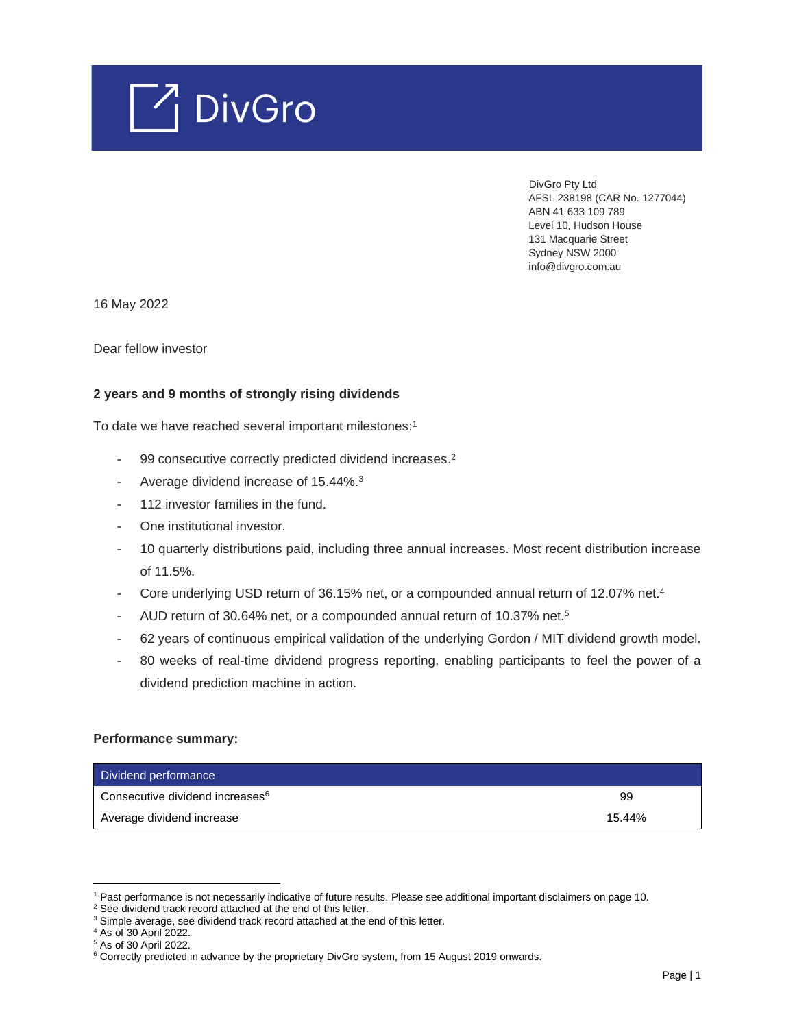

 DivGro Pty Ltd AFSL 238198 (CAR No. 1277044) ABN 41 633 109 789 Level 10, Hudson House 131 Macquarie Street Sydney NSW 2000 info@divgro.com.au

16 May 2022

Dear fellow investor

## **2 years and 9 months of strongly rising dividends**

To date we have reached several important milestones: 1

- 99 consecutive correctly predicted dividend increases.<sup>2</sup>
- Average dividend increase of 15.44%.<sup>3</sup>
- 112 investor families in the fund.
- One institutional investor.
- 10 quarterly distributions paid, including three annual increases. Most recent distribution increase of 11.5%.
- Core underlying USD return of 36.15% net, or a compounded annual return of 12.07% net.<sup>4</sup>
- AUD return of 30.64% net, or a compounded annual return of 10.37% net.<sup>5</sup>
- 62 years of continuous empirical validation of the underlying Gordon / MIT dividend growth model.
- 80 weeks of real-time dividend progress reporting, enabling participants to feel the power of a dividend prediction machine in action.

#### **Performance summary:**

| Dividend performance                        |        |
|---------------------------------------------|--------|
| Consecutive dividend increases <sup>6</sup> | 99     |
| Average dividend increase                   | 15.44% |

<sup>1</sup> Past performance is not necessarily indicative of future results. Please see additional important disclaimers on page 10.

<sup>&</sup>lt;sup>2</sup> See dividend track record attached at the end of this letter.

<sup>&</sup>lt;sup>3</sup> Simple average, see dividend track record attached at the end of this letter.

<sup>4</sup> As of 30 April 2022.

<sup>5</sup> As of 30 April 2022.

<sup>&</sup>lt;sup>6</sup> Correctly predicted in advance by the proprietary DivGro system, from 15 August 2019 onwards.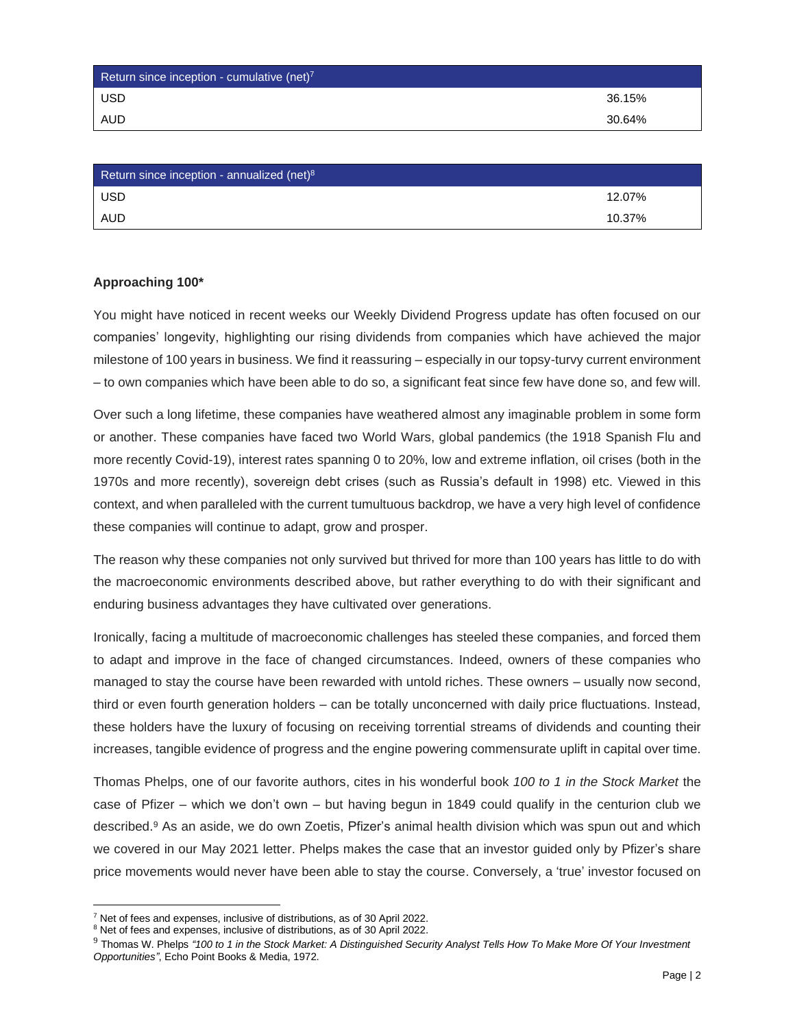| Return since inception - cumulative (net) $7$ |        |
|-----------------------------------------------|--------|
| <b>USD</b>                                    | 36.15% |
| <b>AUD</b>                                    | 30.64% |

| Return since inception - annualized (net) <sup>8</sup> |        |
|--------------------------------------------------------|--------|
| <b>USD</b>                                             | 12.07% |
| <b>AUD</b>                                             | 10.37% |

## **Approaching 100\***

You might have noticed in recent weeks our Weekly Dividend Progress update has often focused on our companies' longevity, highlighting our rising dividends from companies which have achieved the major milestone of 100 years in business. We find it reassuring – especially in our topsy-turvy current environment – to own companies which have been able to do so, a significant feat since few have done so, and few will.

Over such a long lifetime, these companies have weathered almost any imaginable problem in some form or another. These companies have faced two World Wars, global pandemics (the 1918 Spanish Flu and more recently Covid-19), interest rates spanning 0 to 20%, low and extreme inflation, oil crises (both in the 1970s and more recently), sovereign debt crises (such as Russia's default in 1998) etc. Viewed in this context, and when paralleled with the current tumultuous backdrop, we have a very high level of confidence these companies will continue to adapt, grow and prosper.

The reason why these companies not only survived but thrived for more than 100 years has little to do with the macroeconomic environments described above, but rather everything to do with their significant and enduring business advantages they have cultivated over generations.

Ironically, facing a multitude of macroeconomic challenges has steeled these companies, and forced them to adapt and improve in the face of changed circumstances. Indeed, owners of these companies who managed to stay the course have been rewarded with untold riches. These owners – usually now second, third or even fourth generation holders – can be totally unconcerned with daily price fluctuations. Instead, these holders have the luxury of focusing on receiving torrential streams of dividends and counting their increases, tangible evidence of progress and the engine powering commensurate uplift in capital over time.

Thomas Phelps, one of our favorite authors, cites in his wonderful book *100 to 1 in the Stock Market* the case of Pfizer – which we don't own – but having begun in 1849 could qualify in the centurion club we described.<sup>9</sup> As an aside, we do own Zoetis, Pfizer's animal health division which was spun out and which we covered in our May 2021 letter. Phelps makes the case that an investor guided only by Pfizer's share price movements would never have been able to stay the course. Conversely, a 'true' investor focused on

<sup>7</sup> Net of fees and expenses, inclusive of distributions, as of 30 April 2022.

<sup>8</sup> Net of fees and expenses, inclusive of distributions, as of 30 April 2022.

<sup>9</sup> Thomas W. Phelps *"100 to 1 in the Stock Market: A Distinguished Security Analyst Tells How To Make More Of Your Investment Opportunities"*, Echo Point Books & Media, 1972.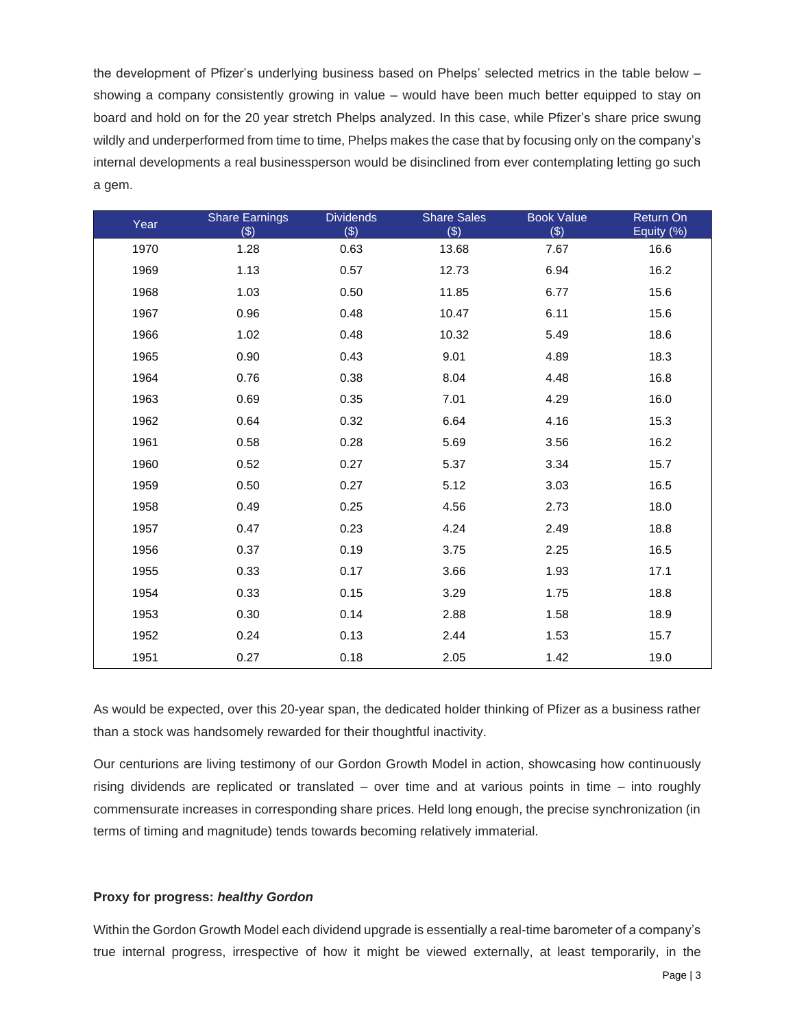the development of Pfizer's underlying business based on Phelps' selected metrics in the table below – showing a company consistently growing in value – would have been much better equipped to stay on board and hold on for the 20 year stretch Phelps analyzed. In this case, while Pfizer's share price swung wildly and underperformed from time to time, Phelps makes the case that by focusing only on the company's internal developments a real businessperson would be disinclined from ever contemplating letting go such a gem.

| Year | <b>Share Earnings</b><br>$(\$)$ | <b>Dividends</b><br>(3) | <b>Share Sales</b><br>$(\$)$ | <b>Book Value</b><br>$(\$)$ | Return On<br>Equity (%) |
|------|---------------------------------|-------------------------|------------------------------|-----------------------------|-------------------------|
| 1970 | 1.28                            | 0.63                    | 13.68                        | 7.67                        | 16.6                    |
| 1969 | 1.13                            | 0.57                    | 12.73                        | 6.94                        | 16.2                    |
| 1968 | 1.03                            | 0.50                    | 11.85                        | 6.77                        | 15.6                    |
| 1967 | 0.96                            | 0.48                    | 10.47                        | 6.11                        | 15.6                    |
| 1966 | 1.02                            | 0.48                    | 10.32                        | 5.49                        | 18.6                    |
| 1965 | 0.90                            | 0.43                    | 9.01                         | 4.89                        | 18.3                    |
| 1964 | 0.76                            | 0.38                    | 8.04                         | 4.48                        | 16.8                    |
| 1963 | 0.69                            | 0.35                    | 7.01                         | 4.29                        | 16.0                    |
| 1962 | 0.64                            | 0.32                    | 6.64                         | 4.16                        | 15.3                    |
| 1961 | 0.58                            | 0.28                    | 5.69                         | 3.56                        | 16.2                    |
| 1960 | 0.52                            | 0.27                    | 5.37                         | 3.34                        | 15.7                    |
| 1959 | 0.50                            | 0.27                    | 5.12                         | 3.03                        | 16.5                    |
| 1958 | 0.49                            | 0.25                    | 4.56                         | 2.73                        | 18.0                    |
| 1957 | 0.47                            | 0.23                    | 4.24                         | 2.49                        | 18.8                    |
| 1956 | 0.37                            | 0.19                    | 3.75                         | 2.25                        | 16.5                    |
| 1955 | 0.33                            | 0.17                    | 3.66                         | 1.93                        | 17.1                    |
| 1954 | 0.33                            | 0.15                    | 3.29                         | 1.75                        | 18.8                    |
| 1953 | 0.30                            | 0.14                    | 2.88                         | 1.58                        | 18.9                    |
| 1952 | 0.24                            | 0.13                    | 2.44                         | 1.53                        | 15.7                    |
| 1951 | 0.27                            | 0.18                    | 2.05                         | 1.42                        | 19.0                    |

As would be expected, over this 20-year span, the dedicated holder thinking of Pfizer as a business rather than a stock was handsomely rewarded for their thoughtful inactivity.

Our centurions are living testimony of our Gordon Growth Model in action, showcasing how continuously rising dividends are replicated or translated – over time and at various points in time – into roughly commensurate increases in corresponding share prices. Held long enough, the precise synchronization (in terms of timing and magnitude) tends towards becoming relatively immaterial.

## **Proxy for progress:** *healthy Gordon*

Within the Gordon Growth Model each dividend upgrade is essentially a real-time barometer of a company's true internal progress, irrespective of how it might be viewed externally, at least temporarily, in the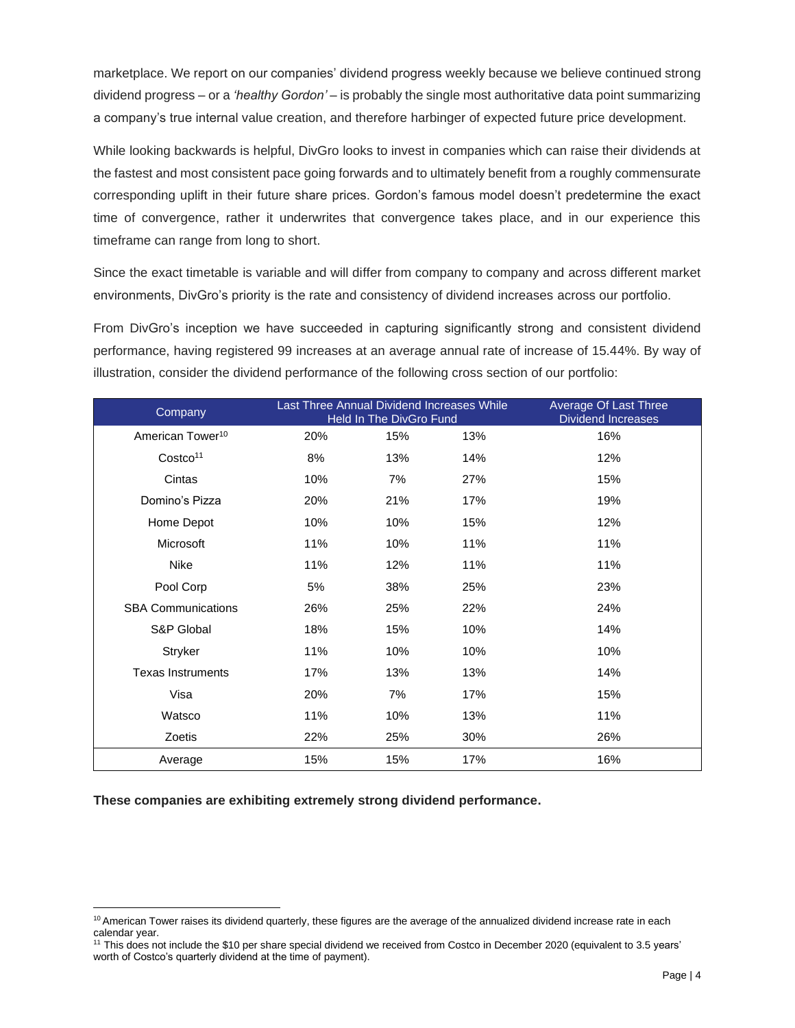marketplace. We report on our companies' dividend progress weekly because we believe continued strong dividend progress – or a *'healthy Gordon'* – is probably the single most authoritative data point summarizing a company's true internal value creation, and therefore harbinger of expected future price development.

While looking backwards is helpful, DivGro looks to invest in companies which can raise their dividends at the fastest and most consistent pace going forwards and to ultimately benefit from a roughly commensurate corresponding uplift in their future share prices. Gordon's famous model doesn't predetermine the exact time of convergence, rather it underwrites that convergence takes place, and in our experience this timeframe can range from long to short.

Since the exact timetable is variable and will differ from company to company and across different market environments, DivGro's priority is the rate and consistency of dividend increases across our portfolio.

From DivGro's inception we have succeeded in capturing significantly strong and consistent dividend performance, having registered 99 increases at an average annual rate of increase of 15.44%. By way of illustration, consider the dividend performance of the following cross section of our portfolio:

| Company                      | Last Three Annual Dividend Increases While | Held In The DivGro Fund |     | Average Of Last Three<br><b>Dividend Increases</b> |
|------------------------------|--------------------------------------------|-------------------------|-----|----------------------------------------------------|
| American Tower <sup>10</sup> | 20%                                        | 15%                     | 13% | 16%                                                |
| Costco <sup>11</sup>         | 8%                                         | 13%                     | 14% | 12%                                                |
| Cintas                       | 10%                                        | 7%                      | 27% | 15%                                                |
| Domino's Pizza               | 20%                                        | 21%                     | 17% | 19%                                                |
| Home Depot                   | 10%                                        | 10%                     | 15% | 12%                                                |
| Microsoft                    | 11%                                        | 10%                     | 11% | 11%                                                |
| Nike                         | 11%                                        | 12%                     | 11% | 11%                                                |
| Pool Corp                    | 5%                                         | 38%                     | 25% | 23%                                                |
| <b>SBA Communications</b>    | 26%                                        | 25%                     | 22% | 24%                                                |
| S&P Global                   | 18%                                        | 15%                     | 10% | 14%                                                |
| Stryker                      | 11%                                        | 10%                     | 10% | 10%                                                |
| <b>Texas Instruments</b>     | 17%                                        | 13%                     | 13% | 14%                                                |
| Visa                         | 20%                                        | 7%                      | 17% | 15%                                                |
| Watsco                       | 11%                                        | 10%                     | 13% | 11%                                                |
| Zoetis                       | 22%                                        | 25%                     | 30% | 26%                                                |
| Average                      | 15%                                        | 15%                     | 17% | 16%                                                |

**These companies are exhibiting extremely strong dividend performance.**

 $10$  American Tower raises its dividend quarterly, these figures are the average of the annualized dividend increase rate in each calendar year.

<sup>&</sup>lt;sup>11</sup> This does not include the \$10 per share special dividend we received from Costco in December 2020 (equivalent to 3.5 years' worth of Costco's quarterly dividend at the time of payment).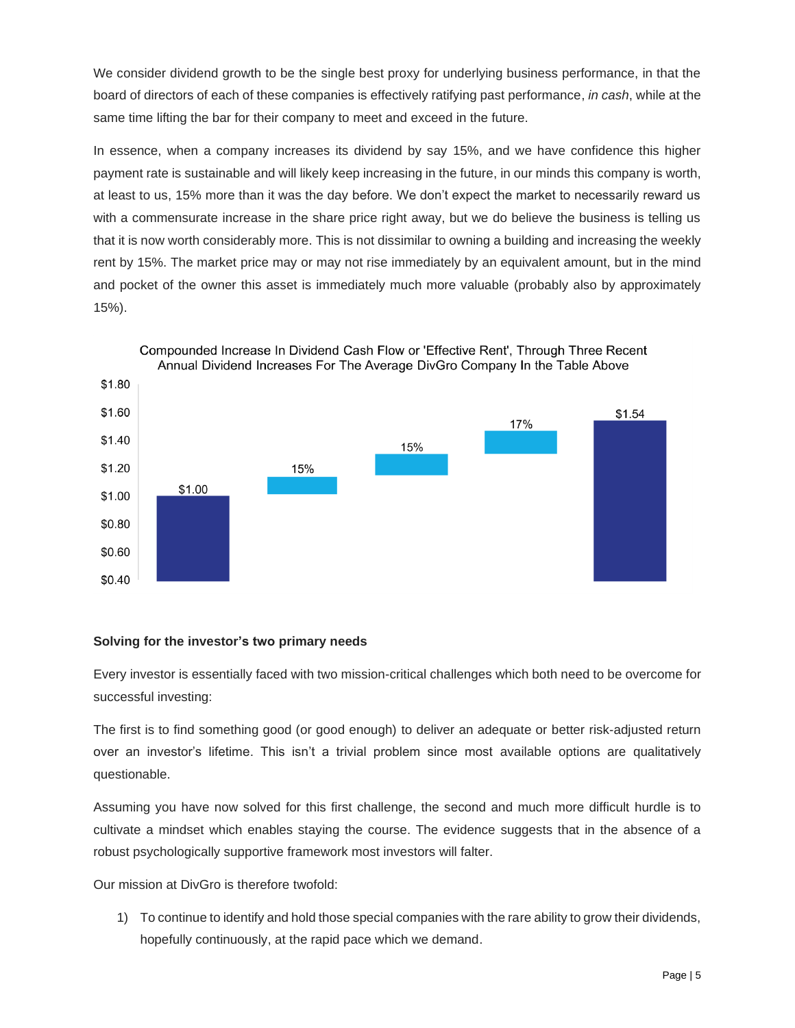We consider dividend growth to be the single best proxy for underlying business performance, in that the board of directors of each of these companies is effectively ratifying past performance, *in cash*, while at the same time lifting the bar for their company to meet and exceed in the future.

In essence, when a company increases its dividend by say 15%, and we have confidence this higher payment rate is sustainable and will likely keep increasing in the future, in our minds this company is worth, at least to us, 15% more than it was the day before. We don't expect the market to necessarily reward us with a commensurate increase in the share price right away, but we do believe the business is telling us that it is now worth considerably more. This is not dissimilar to owning a building and increasing the weekly rent by 15%. The market price may or may not rise immediately by an equivalent amount, but in the mind and pocket of the owner this asset is immediately much more valuable (probably also by approximately 15%).



# Compounded Increase In Dividend Cash Flow or 'Effective Rent', Through Three Recent

# **Solving for the investor's two primary needs**

Every investor is essentially faced with two mission-critical challenges which both need to be overcome for successful investing:

The first is to find something good (or good enough) to deliver an adequate or better risk-adjusted return over an investor's lifetime. This isn't a trivial problem since most available options are qualitatively questionable.

Assuming you have now solved for this first challenge, the second and much more difficult hurdle is to cultivate a mindset which enables staying the course. The evidence suggests that in the absence of a robust psychologically supportive framework most investors will falter.

Our mission at DivGro is therefore twofold:

1) To continue to identify and hold those special companies with the rare ability to grow their dividends, hopefully continuously, at the rapid pace which we demand.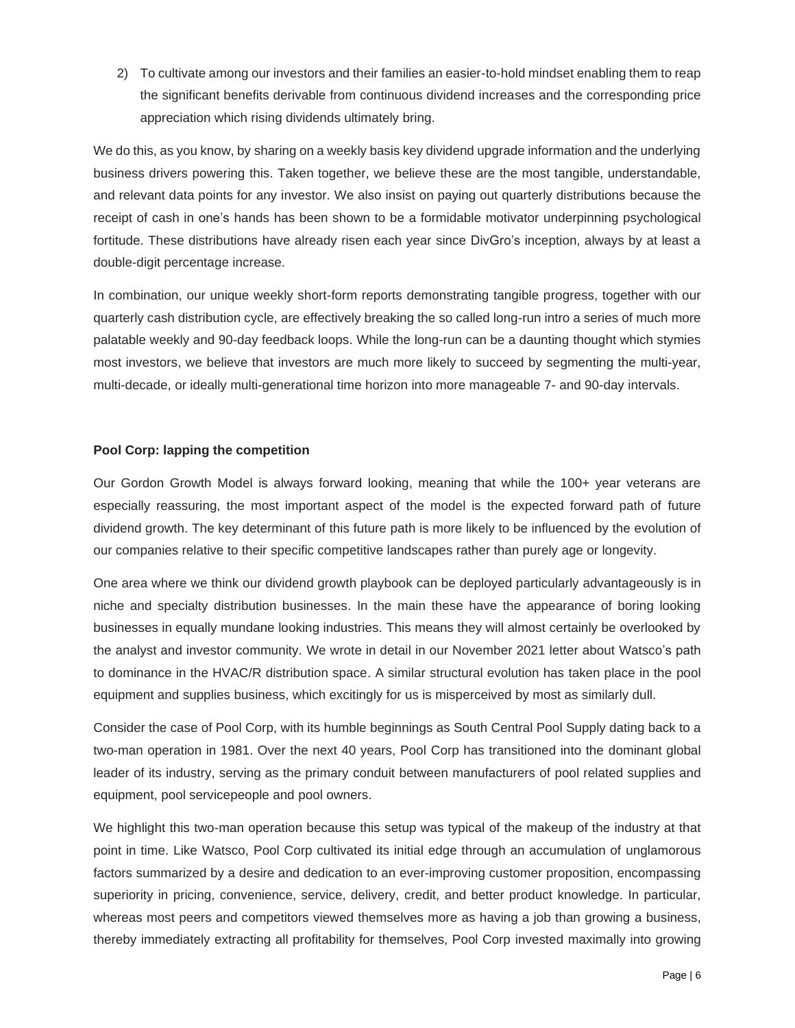2) To cultivate among our investors and their families an easier-to-hold mindset enabling them to reap the significant benefits derivable from continuous dividend increases and the corresponding price appreciation which rising dividends ultimately bring.

We do this, as you know, by sharing on a weekly basis key dividend upgrade information and the underlying business drivers powering this. Taken together, we believe these are the most tangible, understandable, and relevant data points for any investor. We also insist on paying out quarterly distributions because the receipt of cash in one's hands has been shown to be a formidable motivator underpinning psychological fortitude. These distributions have already risen each year since DivGro's inception, always by at least a double-digit percentage increase.

In combination, our unique weekly short-form reports demonstrating tangible progress, together with our quarterly cash distribution cycle, are effectively breaking the so called long-run intro a series of much more palatable weekly and 90-day feedback loops. While the long-run can be a daunting thought which stymies most investors, we believe that investors are much more likely to succeed by segmenting the multi-year, multi-decade, or ideally multi-generational time horizon into more manageable 7- and 90-day intervals.

# **Pool Corp: lapping the competition**

Our Gordon Growth Model is always forward looking, meaning that while the 100+ year veterans are especially reassuring, the most important aspect of the model is the expected forward path of future dividend growth. The key determinant of this future path is more likely to be influenced by the evolution of our companies relative to their specific competitive landscapes rather than purely age or longevity.

One area where we think our dividend growth playbook can be deployed particularly advantageously is in niche and specialty distribution businesses. In the main these have the appearance of boring looking businesses in equally mundane looking industries. This means they will almost certainly be overlooked by the analyst and investor community. We wrote in detail in our November 2021 letter about Watsco's path to dominance in the HVAC/R distribution space. A similar structural evolution has taken place in the pool equipment and supplies business, which excitingly for us is misperceived by most as similarly dull.

Consider the case of Pool Corp, with its humble beginnings as South Central Pool Supply dating back to a two-man operation in 1981. Over the next 40 years, Pool Corp has transitioned into the dominant global leader of its industry, serving as the primary conduit between manufacturers of pool related supplies and equipment, pool servicepeople and pool owners.

We highlight this two-man operation because this setup was typical of the makeup of the industry at that point in time. Like Watsco, Pool Corp cultivated its initial edge through an accumulation of unglamorous factors summarized by a desire and dedication to an ever-improving customer proposition, encompassing superiority in pricing, convenience, service, delivery, credit, and better product knowledge. In particular, whereas most peers and competitors viewed themselves more as having a job than growing a business, thereby immediately extracting all profitability for themselves, Pool Corp invested maximally into growing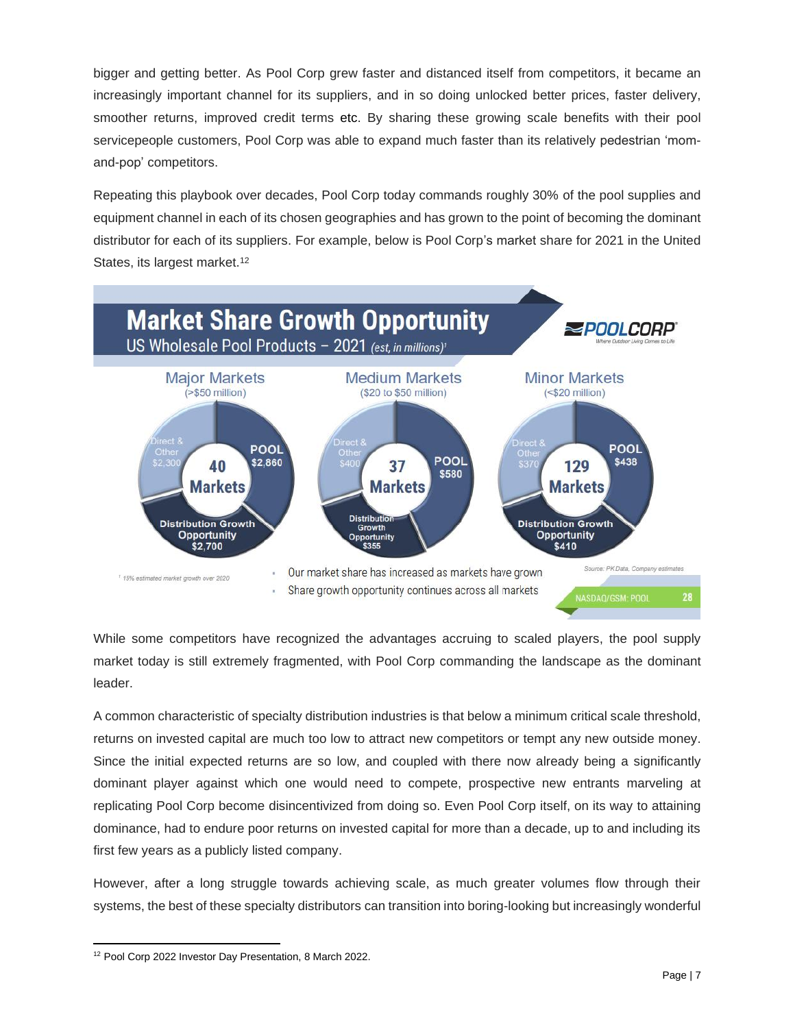bigger and getting better. As Pool Corp grew faster and distanced itself from competitors, it became an increasingly important channel for its suppliers, and in so doing unlocked better prices, faster delivery, smoother returns, improved credit terms etc. By sharing these growing scale benefits with their pool servicepeople customers, Pool Corp was able to expand much faster than its relatively pedestrian 'momand-pop' competitors.

Repeating this playbook over decades, Pool Corp today commands roughly 30% of the pool supplies and equipment channel in each of its chosen geographies and has grown to the point of becoming the dominant distributor for each of its suppliers. For example, below is Pool Corp's market share for 2021 in the United States, its largest market.<sup>12</sup>



While some competitors have recognized the advantages accruing to scaled players, the pool supply market today is still extremely fragmented, with Pool Corp commanding the landscape as the dominant leader.

A common characteristic of specialty distribution industries is that below a minimum critical scale threshold, returns on invested capital are much too low to attract new competitors or tempt any new outside money. Since the initial expected returns are so low, and coupled with there now already being a significantly dominant player against which one would need to compete, prospective new entrants marveling at replicating Pool Corp become disincentivized from doing so. Even Pool Corp itself, on its way to attaining dominance, had to endure poor returns on invested capital for more than a decade, up to and including its first few years as a publicly listed company.

However, after a long struggle towards achieving scale, as much greater volumes flow through their systems, the best of these specialty distributors can transition into boring-looking but increasingly wonderful

<sup>12</sup> Pool Corp 2022 Investor Day Presentation, 8 March 2022.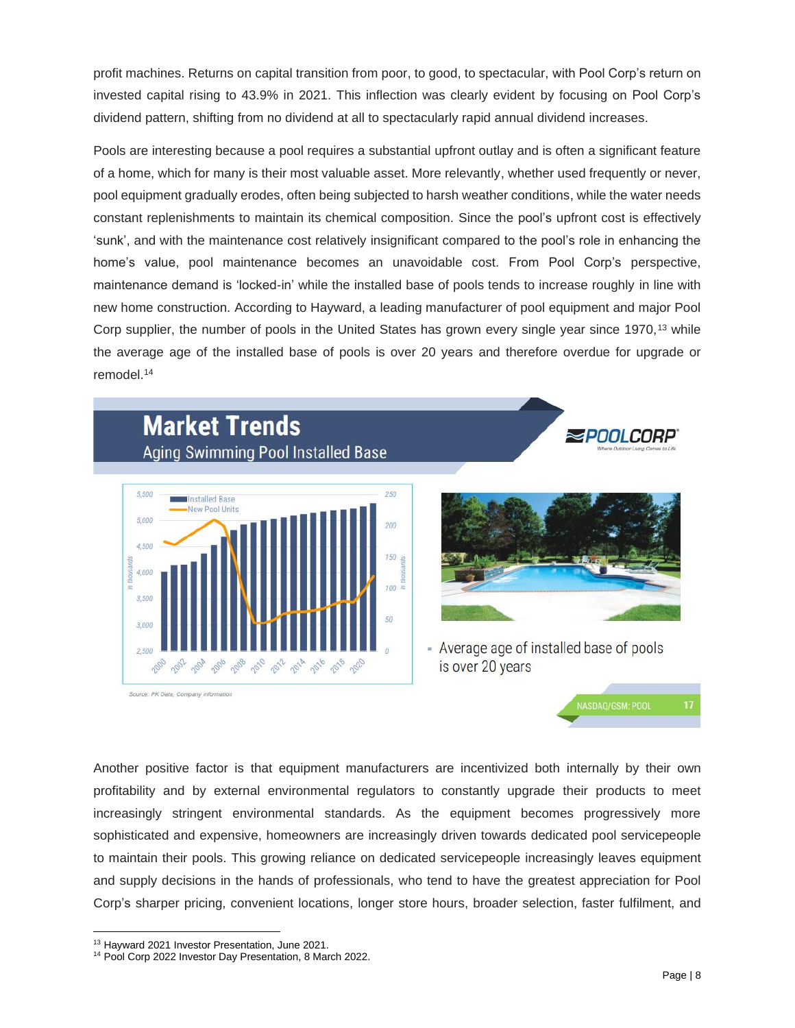profit machines. Returns on capital transition from poor, to good, to spectacular, with Pool Corp's return on invested capital rising to 43.9% in 2021. This inflection was clearly evident by focusing on Pool Corp's dividend pattern, shifting from no dividend at all to spectacularly rapid annual dividend increases.

Pools are interesting because a pool requires a substantial upfront outlay and is often a significant feature of a home, which for many is their most valuable asset. More relevantly, whether used frequently or never, pool equipment gradually erodes, often being subjected to harsh weather conditions, while the water needs constant replenishments to maintain its chemical composition. Since the pool's upfront cost is effectively 'sunk', and with the maintenance cost relatively insignificant compared to the pool's role in enhancing the home's value, pool maintenance becomes an unavoidable cost. From Pool Corp's perspective, maintenance demand is 'locked-in' while the installed base of pools tends to increase roughly in line with new home construction. According to Hayward, a leading manufacturer of pool equipment and major Pool Corp supplier, the number of pools in the United States has grown every single year since 1970,<sup>13</sup> while the average age of the installed base of pools is over 20 years and therefore overdue for upgrade or remodel<sup>14</sup>

# **Market Trends** Aging Swimming Pool Installed Base



Source: PK Data, Company information



- Average age of installed base of pools is over 20 years



**SPOOLCORP** 

Another positive factor is that equipment manufacturers are incentivized both internally by their own profitability and by external environmental regulators to constantly upgrade their products to meet increasingly stringent environmental standards. As the equipment becomes progressively more sophisticated and expensive, homeowners are increasingly driven towards dedicated pool servicepeople to maintain their pools. This growing reliance on dedicated servicepeople increasingly leaves equipment and supply decisions in the hands of professionals, who tend to have the greatest appreciation for Pool Corp's sharper pricing, convenient locations, longer store hours, broader selection, faster fulfilment, and

<sup>13</sup> Hayward 2021 Investor Presentation, June 2021.

<sup>14</sup> Pool Corp 2022 Investor Day Presentation, 8 March 2022.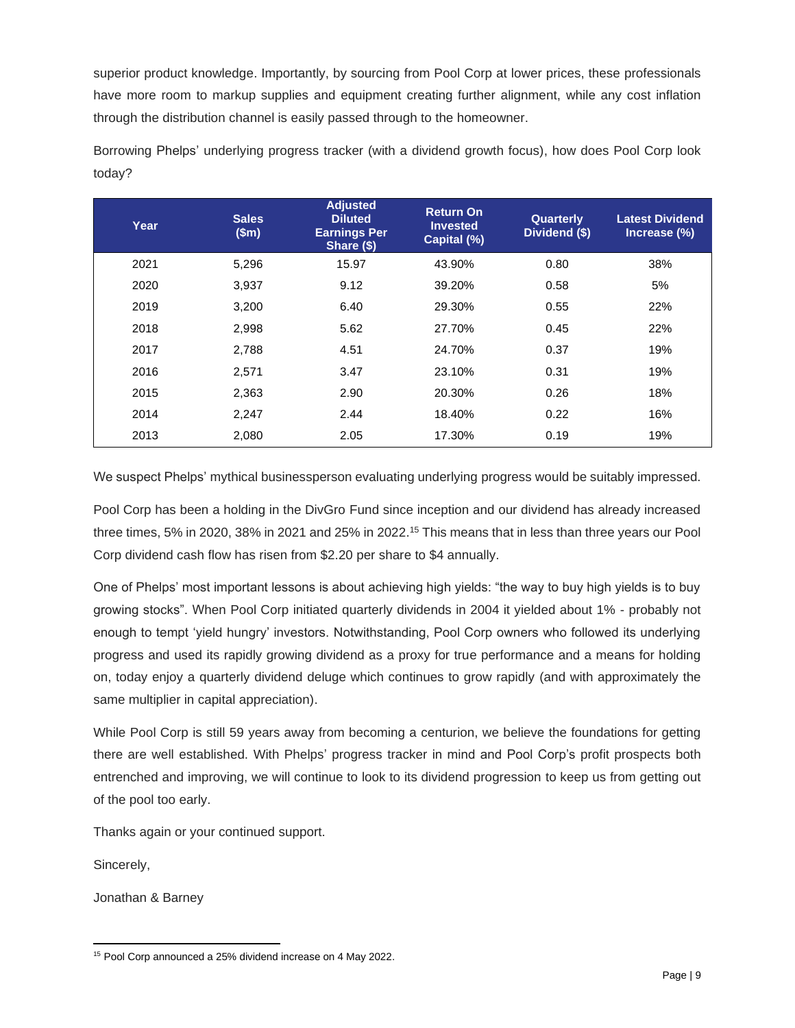superior product knowledge. Importantly, by sourcing from Pool Corp at lower prices, these professionals have more room to markup supplies and equipment creating further alignment, while any cost inflation through the distribution channel is easily passed through to the homeowner.

| Year | <b>Sales</b><br>\$m\$ | <b>Adjusted</b><br><b>Diluted</b><br><b>Earnings Per</b><br>Share (\$) | <b>Return On</b><br><b>Invested</b><br>Capital (%) | Quarterly<br>Dividend (\$) | <b>Latest Dividend</b><br>Increase (%) |
|------|-----------------------|------------------------------------------------------------------------|----------------------------------------------------|----------------------------|----------------------------------------|
| 2021 | 5,296                 | 15.97                                                                  | 43.90%                                             | 0.80                       | 38%                                    |
| 2020 | 3,937                 | 9.12                                                                   | 39.20%                                             | 0.58                       | 5%                                     |
| 2019 | 3,200                 | 6.40                                                                   | 29.30%                                             | 0.55                       | 22%                                    |
| 2018 | 2,998                 | 5.62                                                                   | 27.70%                                             | 0.45                       | 22%                                    |
| 2017 | 2,788                 | 4.51                                                                   | 24.70%                                             | 0.37                       | 19%                                    |
| 2016 | 2,571                 | 3.47                                                                   | 23.10%                                             | 0.31                       | 19%                                    |
| 2015 | 2,363                 | 2.90                                                                   | 20.30%                                             | 0.26                       | 18%                                    |
| 2014 | 2,247                 | 2.44                                                                   | 18.40%                                             | 0.22                       | 16%                                    |
| 2013 | 2,080                 | 2.05                                                                   | 17.30%                                             | 0.19                       | 19%                                    |

Borrowing Phelps' underlying progress tracker (with a dividend growth focus), how does Pool Corp look today?

We suspect Phelps' mythical businessperson evaluating underlying progress would be suitably impressed.

Pool Corp has been a holding in the DivGro Fund since inception and our dividend has already increased three times, 5% in 2020, 38% in 2021 and 25% in 2022. <sup>15</sup> This means that in less than three years our Pool Corp dividend cash flow has risen from \$2.20 per share to \$4 annually.

One of Phelps' most important lessons is about achieving high yields: "the way to buy high yields is to buy growing stocks". When Pool Corp initiated quarterly dividends in 2004 it yielded about 1% - probably not enough to tempt 'yield hungry' investors. Notwithstanding, Pool Corp owners who followed its underlying progress and used its rapidly growing dividend as a proxy for true performance and a means for holding on, today enjoy a quarterly dividend deluge which continues to grow rapidly (and with approximately the same multiplier in capital appreciation).

While Pool Corp is still 59 years away from becoming a centurion, we believe the foundations for getting there are well established. With Phelps' progress tracker in mind and Pool Corp's profit prospects both entrenched and improving, we will continue to look to its dividend progression to keep us from getting out of the pool too early.

Thanks again or your continued support.

Sincerely,

Jonathan & Barney

<sup>&</sup>lt;sup>15</sup> Pool Corp announced a 25% dividend increase on 4 May 2022.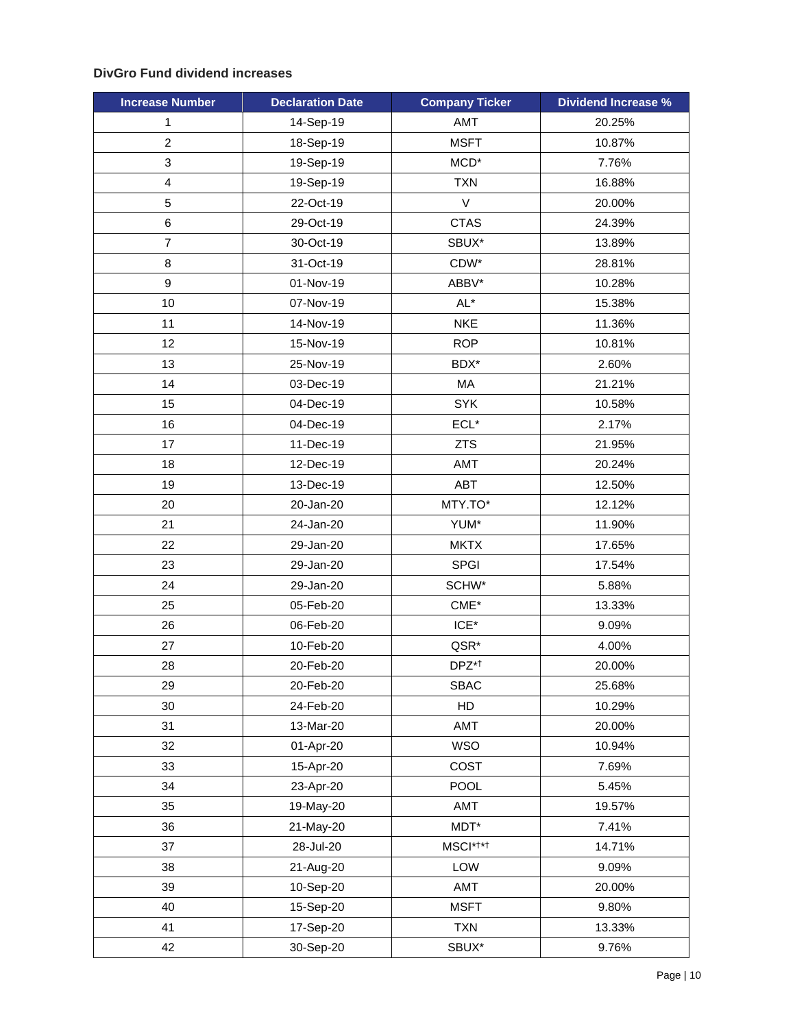# **DivGro Fund dividend increases**

| <b>Increase Number</b> | <b>Declaration Date</b> | <b>Company Ticker</b> | <b>Dividend Increase %</b> |
|------------------------|-------------------------|-----------------------|----------------------------|
| $\mathbf{1}$           | 14-Sep-19               | AMT                   | 20.25%                     |
| $\overline{2}$         | 18-Sep-19               | <b>MSFT</b>           | 10.87%                     |
| 3                      | 19-Sep-19               | MCD <sup>*</sup>      | 7.76%                      |
| 4                      | 19-Sep-19               | <b>TXN</b>            | 16.88%                     |
| 5                      | 22-Oct-19               | V                     | 20.00%                     |
| 6                      | 29-Oct-19               | <b>CTAS</b>           | 24.39%                     |
| $\overline{7}$         | 30-Oct-19               | SBUX*                 | 13.89%                     |
| 8                      | 31-Oct-19               | CDW*                  | 28.81%                     |
| 9                      | 01-Nov-19               | ABBV*                 | 10.28%                     |
| 10                     | 07-Nov-19               | $AL^*$                | 15.38%                     |
| 11                     | 14-Nov-19               | <b>NKE</b>            | 11.36%                     |
| 12                     | 15-Nov-19               | <b>ROP</b>            | 10.81%                     |
| 13                     | 25-Nov-19               | BDX*                  | 2.60%                      |
| 14                     | 03-Dec-19               | MA                    | 21.21%                     |
| 15                     | 04-Dec-19               | <b>SYK</b>            | 10.58%                     |
| 16                     | 04-Dec-19               | $ECL*$                | 2.17%                      |
| 17                     | 11-Dec-19               | <b>ZTS</b>            | 21.95%                     |
| 18                     | 12-Dec-19               | AMT                   | 20.24%                     |
| 19                     | 13-Dec-19               | ABT                   | 12.50%                     |
| 20                     | 20-Jan-20               | MTY.TO*               | 12.12%                     |
| 21                     | 24-Jan-20               | YUM*                  | 11.90%                     |
| 22                     | 29-Jan-20               | <b>MKTX</b>           | 17.65%                     |
| 23                     | 29-Jan-20               | SPGI                  | 17.54%                     |
| 24                     | 29-Jan-20               | SCHW*                 | 5.88%                      |
| 25                     | 05-Feb-20               | $CME*$                | 13.33%                     |
| 26                     | 06-Feb-20               | $ICE^*$               | 9.09%                      |
| 27                     | 10-Feb-20               | QSR*                  | 4.00%                      |
| 28                     | 20-Feb-20               | DPZ*†                 | 20.00%                     |
| 29                     | 20-Feb-20               | <b>SBAC</b>           | 25.68%                     |
| 30                     | 24-Feb-20               | HD                    | 10.29%                     |
| 31                     | 13-Mar-20               | AMT                   | 20.00%                     |
| 32                     | 01-Apr-20               | <b>WSO</b>            | 10.94%                     |
| 33                     | 15-Apr-20               | COST                  | 7.69%                      |
| 34                     | 23-Apr-20               | POOL                  | 5.45%                      |
| 35                     | 19-May-20               | AMT                   | 19.57%                     |
| 36                     | 21-May-20               | $MDT^*$               | 7.41%                      |
| 37                     | 28-Jul-20               | MSCI* <sup>†*†</sup>  | 14.71%                     |
| 38                     | 21-Aug-20               | LOW                   | 9.09%                      |
| 39                     | 10-Sep-20               | AMT                   | 20.00%                     |
| 40                     | 15-Sep-20               | <b>MSFT</b>           | 9.80%                      |
| 41                     | 17-Sep-20               | <b>TXN</b>            | 13.33%                     |
| 42                     | 30-Sep-20               | SBUX*                 | 9.76%                      |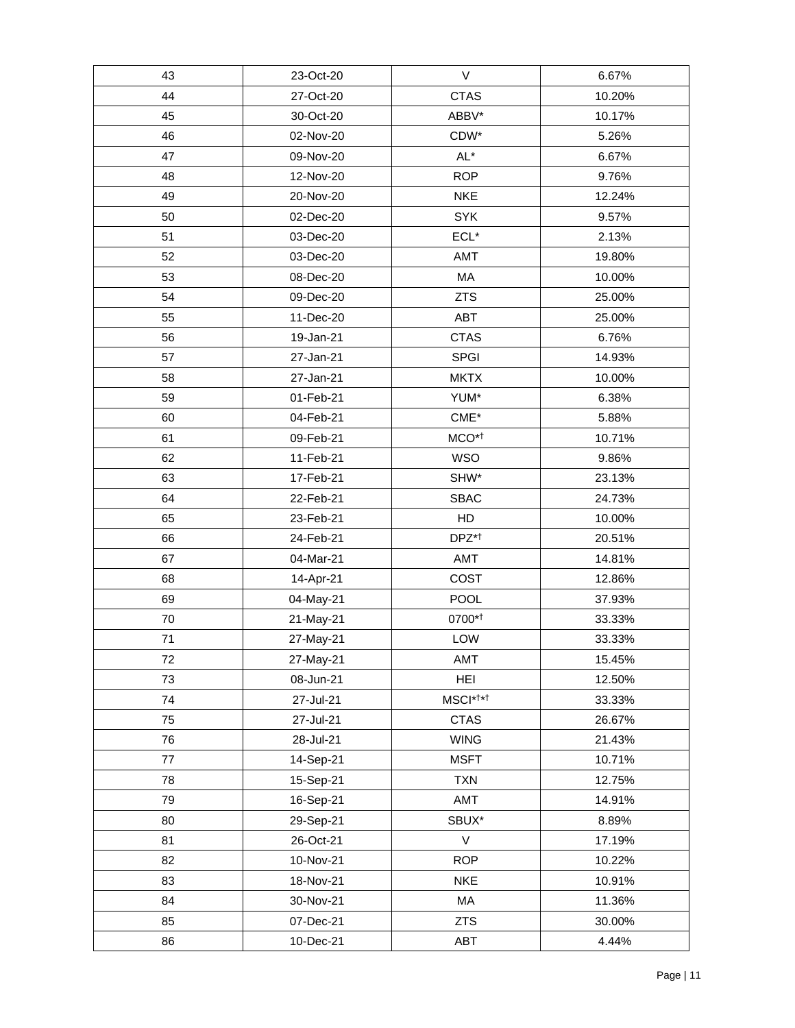| 43 | 23-Oct-20 | V                    | 6.67%  |
|----|-----------|----------------------|--------|
| 44 | 27-Oct-20 | <b>CTAS</b>          | 10.20% |
| 45 | 30-Oct-20 | ABBV*                | 10.17% |
| 46 | 02-Nov-20 | CDW*                 | 5.26%  |
| 47 | 09-Nov-20 | AL*                  | 6.67%  |
| 48 | 12-Nov-20 | <b>ROP</b>           | 9.76%  |
| 49 | 20-Nov-20 | <b>NKE</b>           | 12.24% |
| 50 | 02-Dec-20 | <b>SYK</b>           | 9.57%  |
| 51 | 03-Dec-20 | $ECL*$               | 2.13%  |
| 52 | 03-Dec-20 | AMT                  | 19.80% |
| 53 | 08-Dec-20 | MA                   | 10.00% |
| 54 | 09-Dec-20 | <b>ZTS</b>           | 25.00% |
| 55 | 11-Dec-20 | ABT                  | 25.00% |
| 56 | 19-Jan-21 | <b>CTAS</b>          | 6.76%  |
| 57 | 27-Jan-21 | SPGI                 | 14.93% |
| 58 | 27-Jan-21 | <b>MKTX</b>          | 10.00% |
| 59 | 01-Feb-21 | YUM*                 | 6.38%  |
| 60 | 04-Feb-21 | $CME*$               | 5.88%  |
| 61 | 09-Feb-21 | MCO <sup>*1</sup>    | 10.71% |
| 62 | 11-Feb-21 | <b>WSO</b>           | 9.86%  |
| 63 | 17-Feb-21 | SHW*                 | 23.13% |
| 64 | 22-Feb-21 | <b>SBAC</b>          | 24.73% |
| 65 | 23-Feb-21 | HD                   | 10.00% |
| 66 | 24-Feb-21 | DPZ* <sup>†</sup>    | 20.51% |
| 67 | 04-Mar-21 | AMT                  | 14.81% |
| 68 | 14-Apr-21 | COST                 | 12.86% |
| 69 | 04-May-21 | POOL                 | 37.93% |
| 70 | 21-May-21 | 0700*1               | 33.33% |
| 71 | 27-May-21 | LOW                  | 33.33% |
| 72 | 27-May-21 | AMT                  | 15.45% |
| 73 | 08-Jun-21 | <b>HEI</b>           | 12.50% |
| 74 | 27-Jul-21 | MSCI* <sup>†*†</sup> | 33.33% |
| 75 | 27-Jul-21 | <b>CTAS</b>          | 26.67% |
| 76 | 28-Jul-21 | <b>WING</b>          | 21.43% |
| 77 | 14-Sep-21 | <b>MSFT</b>          | 10.71% |
| 78 | 15-Sep-21 | <b>TXN</b>           | 12.75% |
| 79 | 16-Sep-21 | AMT                  | 14.91% |
| 80 | 29-Sep-21 | SBUX*                | 8.89%  |
| 81 | 26-Oct-21 | $\vee$               | 17.19% |
| 82 | 10-Nov-21 | <b>ROP</b>           | 10.22% |
| 83 | 18-Nov-21 | <b>NKE</b>           | 10.91% |
| 84 | 30-Nov-21 | MA                   | 11.36% |
| 85 | 07-Dec-21 | <b>ZTS</b>           | 30.00% |
| 86 | 10-Dec-21 | ABT                  | 4.44%  |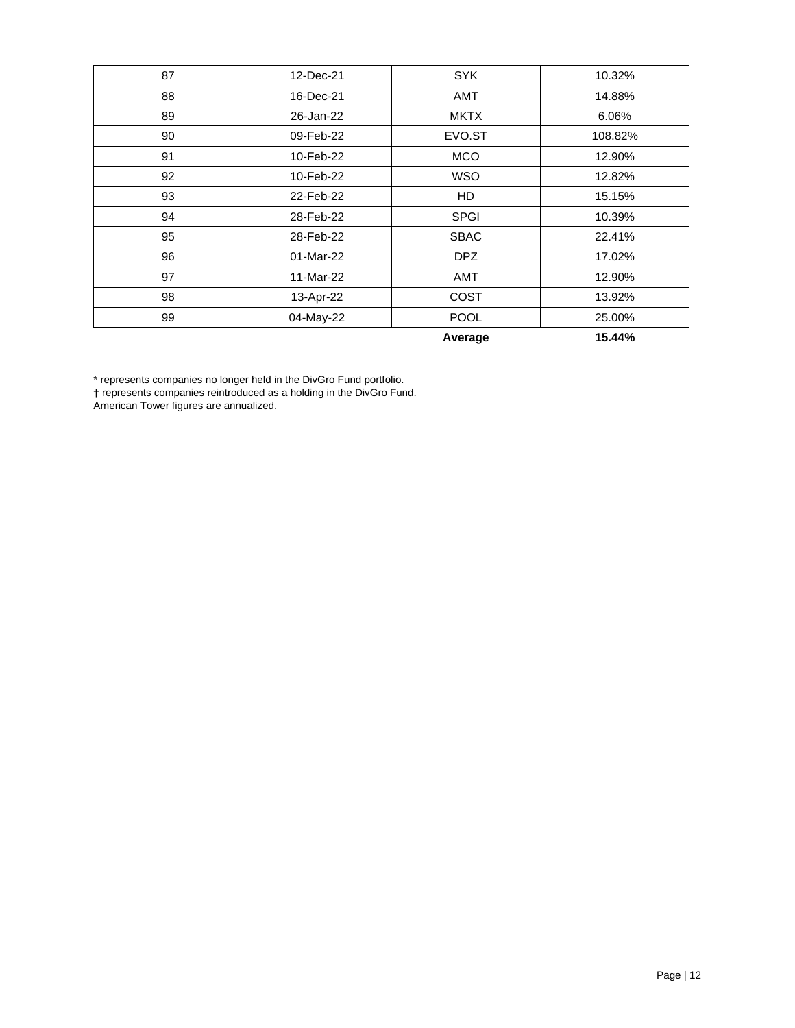| 87 | 12-Dec-21 | <b>SYK</b>  | 10.32%  |
|----|-----------|-------------|---------|
| 88 | 16-Dec-21 | <b>AMT</b>  | 14.88%  |
| 89 | 26-Jan-22 | <b>MKTX</b> | 6.06%   |
| 90 | 09-Feb-22 | EVO.ST      | 108.82% |
| 91 | 10-Feb-22 | <b>MCO</b>  | 12.90%  |
| 92 | 10-Feb-22 | <b>WSO</b>  | 12.82%  |
| 93 | 22-Feb-22 | <b>HD</b>   | 15.15%  |
| 94 | 28-Feb-22 | <b>SPGI</b> | 10.39%  |
| 95 | 28-Feb-22 | <b>SBAC</b> | 22.41%  |
| 96 | 01-Mar-22 | DPZ         | 17.02%  |
| 97 | 11-Mar-22 | <b>AMT</b>  | 12.90%  |
| 98 | 13-Apr-22 | <b>COST</b> | 13.92%  |
| 99 | 04-May-22 | <b>POOL</b> | 25.00%  |
|    |           | Average     | 15.44%  |

\* represents companies no longer held in the DivGro Fund portfolio.

† represents companies reintroduced as a holding in the DivGro Fund.

American Tower figures are annualized.